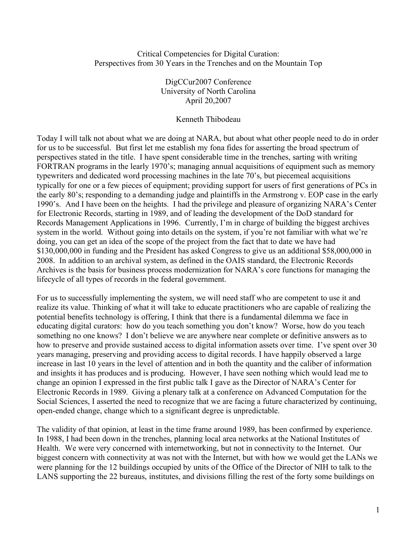#### Critical Competencies for Digital Curation: Perspectives from 30 Years in the Trenches and on the Mountain Top

DigCCur2007 Conference University of North Carolina April 20,2007

### Kenneth Thibodeau

Today I will talk not about what we are doing at NARA, but about what other people need to do in order for us to be successful. But first let me establish my fona fides for asserting the broad spectrum of perspectives stated in the title. I have spent considerable time in the trenches, sarting with writing FORTRAN programs in the learly 1970's; managing annual acquisitions of equipment such as memory typewriters and dedicated word processing machines in the late 70's, but piecemeal acquisitions typically for one or a few pieces of equipment; providing support for users of first generations of PCs in the early 80's; responding to a demanding judge and plaintiffs in the Armstrong v. EOP case in the early 1990's. And I have been on the heights. I had the privilege and pleasure of organizing NARA's Center for Electronic Records, starting in 1989, and of leading the development of the DoD standard for Records Management Applications in 1996. Currently, I'm in charge of building the biggest archives system in the world. Without going into details on the system, if you're not familiar with what we're doing, you can get an idea of the scope of the project from the fact that to date we have had \$130,000,000 in funding and the President has asked Congress to give us an additional \$58,000,000 in 2008. In addition to an archival system, as defined in the OAIS standard, the Electronic Records Archives is the basis for business process modernization for NARA's core functions for managing the lifecycle of all types of records in the federal government.

For us to successfully implementing the system, we will need staff who are competent to use it and realize its value. Thinking of what it will take to educate practitioners who are capable of realizing the potential benefits technology is offering, I think that there is a fundamental dilemma we face in educating digital curators: how do you teach something you don't know? Worse, how do you teach something no one knows? I don't believe we are anywhere near complete or definitive answers as to how to preserve and provide sustained access to digital information assets over time. I've spent over 30 years managing, preserving and providing access to digital records. I have happily observed a large increase in last 10 years in the level of attention and in both the quantity and the caliber of information and insights it has produces and is producing. However, I have seen nothing which would lead me to change an opinion I expressed in the first public talk I gave as the Director of NARA's Center for Electronic Records in 1989. Giving a plenary talk at a conference on Advanced Computation for the Social Sciences, I asserted the need to recognize that we are facing a future characterized by continuing, open-ended change, change which to a significant degree is unpredictable.

The validity of that opinion, at least in the time frame around 1989, has been confirmed by experience. In 1988, I had been down in the trenches, planning local area networks at the National Institutes of Health. We were very concerned with internetworking, but not in connectivity to the Internet. Our biggest concern with connectivity at was not with the Internet, but with how we would get the LANs we were planning for the 12 buildings occupied by units of the Office of the Director of NIH to talk to the LANS supporting the 22 bureaus, institutes, and divisions filling the rest of the forty some buildings on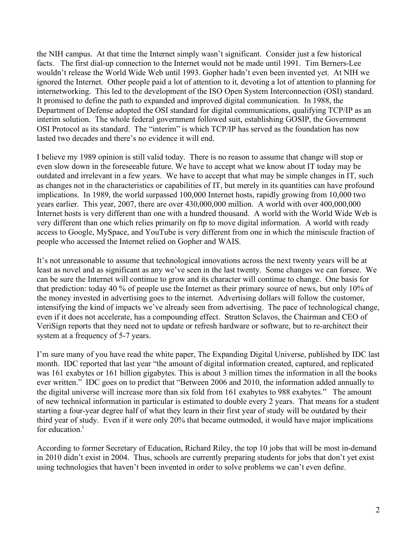the NIH campus. At that time the Internet simply wasn't significant. Consider just a few historical facts. The first dial-up connection to the Internet would not be made until 1991. Tim Berners-Lee wouldn't release the World Wide Web until 1993. Gopher hadn't even been invented yet. At NIH we ignored the Internet. Other people paid a lot of attention to it, devoting a lot of attention to planning for internetworking. This led to the development of the ISO Open System Interconnection (OSI) standard. It promised to define the path to expanded and improved digital communication. In 1988, the Department of Defense adopted the OSI standard for digital communications, qualifying TCP/IP as an interim solution. The whole federal government followed suit, establishing GOSIP, the Government OSI Protocol as its standard. The "interim" is which TCP/IP has served as the foundation has now lasted two decades and there's no evidence it will end.

I believe my 1989 opinion is still valid today. There is no reason to assume that change will stop or even slow down in the foreseeable future. We have to accept what we know about IT today may be outdated and irrelevant in a few years. We have to accept that what may be simple changes in IT, such as changes not in the characteristics or capabilities of IT, but merely in its quantities can have profound implications. In 1989, the world surpassed 100,000 Internet hosts, rapidly growing from 10,000 two years earlier. This year, 2007, there are over 430,000,000 million. A world with over 400,000,000 Internet hosts is very different than one with a hundred thousand. A world with the World Wide Web is very different than one which relies primarily on ftp to move digital information. A world with ready access to Google, MySpace, and YouTube is very different from one in which the miniscule fraction of people who accessed the Internet relied on Gopher and WAIS.

It's not unreasonable to assume that technological innovations across the next twenty years will be at least as novel and as significant as any we've seen in the last twenty. Some changes we can forsee. We can be sure the Internet will continue to grow and its character will continue to change. One basis for that prediction: today 40 % of people use the Internet as their primary source of news, but only 10% of the money invested in advertising goes to the internet. Advertising dollars will follow the customer, intensifying the kind of impacts we've already seen from advertising. The pace of technological change, even if it does not accelerate, has a compounding effect. Stratton Sclavos, the Chairman and CEO of VeriSign reports that they need not to update or refresh hardware or software, but to re-architect their system at a frequency of 5-7 years.

I'm sure many of you have read the white paper, The Expanding Digital Universe, published by IDC last month. IDC reported that last year "the amount of digital information created, captured, and replicated was 161 exabytes or 161 billion gigabytes. This is about 3 million times the information in all the books ever written." IDC goes on to predict that "Between 2006 and 2010, the information added annually to the digital universe will increase more than six fold from 161 exabytes to 988 exabytes." The amount of new technical information in particular is estimated to double every 2 years. That means for a student starting a four-year degree half of what they learn in their first year of study will be outdated by their third year of study. Even if it were only 20% that became outmoded, it would have major implications for education.<sup>i</sup>

According to former Secretary of Education, Richard Riley, the top 10 jobs that will be most in-demand in 2010 didn't exist in 2004. Thus, schools are currently preparing students for jobs that don't yet exist using technologies that haven't been invented in order to solve problems we can't even define.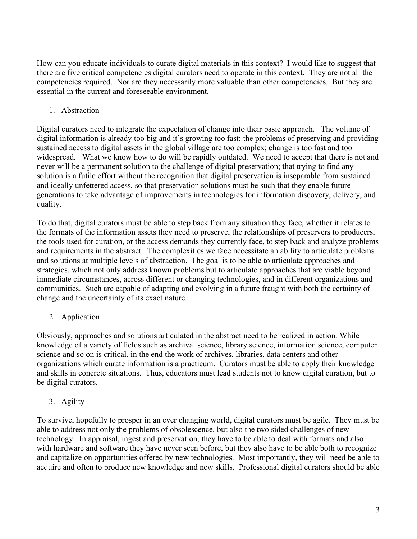How can you educate individuals to curate digital materials in this context? I would like to suggest that there are five critical competencies digital curators need to operate in this context. They are not all the competencies required. Nor are they necessarily more valuable than other competencies. But they are essential in the current and foreseeable environment.

# 1. Abstraction

Digital curators need to integrate the expectation of change into their basic approach. The volume of digital information is already too big and it's growing too fast; the problems of preserving and providing sustained access to digital assets in the global village are too complex; change is too fast and too widespread. What we know how to do will be rapidly outdated. We need to accept that there is not and never will be a permanent solution to the challenge of digital preservation; that trying to find any solution is a futile effort without the recognition that digital preservation is inseparable from sustained and ideally unfettered access, so that preservation solutions must be such that they enable future generations to take advantage of improvements in technologies for information discovery, delivery, and quality.

To do that, digital curators must be able to step back from any situation they face, whether it relates to the formats of the information assets they need to preserve, the relationships of preservers to producers, the tools used for curation, or the access demands they currently face, to step back and analyze problems and requirements in the abstract. The complexities we face necessitate an ability to articulate problems and solutions at multiple levels of abstraction. The goal is to be able to articulate approaches and strategies, which not only address known problems but to articulate approaches that are viable beyond immediate circumstances, across different or changing technologies, and in different organizations and communities. Such are capable of adapting and evolving in a future fraught with both the certainty of change and the uncertainty of its exact nature.

# 2. Application

Obviously, approaches and solutions articulated in the abstract need to be realized in action. While knowledge of a variety of fields such as archival science, library science, information science, computer science and so on is critical, in the end the work of archives, libraries, data centers and other organizations which curate information is a practicum. Curators must be able to apply their knowledge and skills in concrete situations. Thus, educators must lead students not to know digital curation, but to be digital curators.

3. Agility

To survive, hopefully to prosper in an ever changing world, digital curators must be agile. They must be able to address not only the problems of obsolescence, but also the two sided challenges of new technology. In appraisal, ingest and preservation, they have to be able to deal with formats and also with hardware and software they have never seen before, but they also have to be able both to recognize and capitalize on opportunities offered by new technologies. Most importantly, they will need be able to acquire and often to produce new knowledge and new skills. Professional digital curators should be able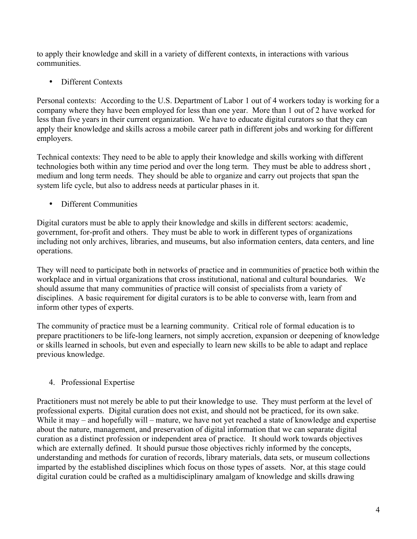to apply their knowledge and skill in a variety of different contexts, in interactions with various communities.

• Different Contexts

Personal contexts: According to the U.S. Department of Labor 1 out of 4 workers today is working for a company where they have been employed for less than one year. More than 1 out of 2 have worked for less than five years in their current organization. We have to educate digital curators so that they can apply their knowledge and skills across a mobile career path in different jobs and working for different employers.

Technical contexts: They need to be able to apply their knowledge and skills working with different technologies both within any time period and over the long term. They must be able to address short , medium and long term needs. They should be able to organize and carry out projects that span the system life cycle, but also to address needs at particular phases in it.

• Different Communities

Digital curators must be able to apply their knowledge and skills in different sectors: academic, government, for-profit and others. They must be able to work in different types of organizations including not only archives, libraries, and museums, but also information centers, data centers, and line operations.

They will need to participate both in networks of practice and in communities of practice both within the workplace and in virtual organizations that cross institutional, national and cultural boundaries. We should assume that many communities of practice will consist of specialists from a variety of disciplines. A basic requirement for digital curators is to be able to converse with, learn from and inform other types of experts.

The community of practice must be a learning community. Critical role of formal education is to prepare practitioners to be life-long learners, not simply accretion, expansion or deepening of knowledge or skills learned in schools, but even and especially to learn new skills to be able to adapt and replace previous knowledge.

## 4. Professional Expertise

Practitioners must not merely be able to put their knowledge to use. They must perform at the level of professional experts. Digital curation does not exist, and should not be practiced, for its own sake. While it may – and hopefully will – mature, we have not yet reached a state of knowledge and expertise about the nature, management, and preservation of digital information that we can separate digital curation as a distinct profession or independent area of practice. It should work towards objectives which are externally defined. It should pursue those objectives richly informed by the concepts, understanding and methods for curation of records, library materials, data sets, or museum collections imparted by the established disciplines which focus on those types of assets. Nor, at this stage could digital curation could be crafted as a multidisciplinary amalgam of knowledge and skills drawing